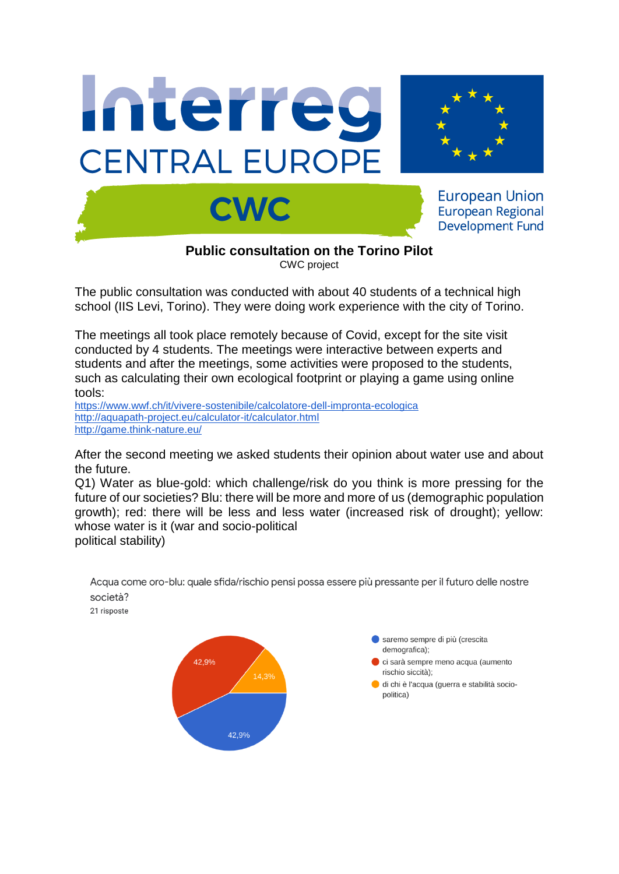





**European Union European Regional Development Fund** 

**Public consultation on the Torino Pilot** CWC project

The public consultation was conducted with about 40 students of a technical high school (IIS Levi, Torino). They were doing work experience with the city of Torino.

The meetings all took place remotely because of Covid, except for the site visit conducted by 4 students. The meetings were interactive between experts and students and after the meetings, some activities were proposed to the students, such as calculating their own ecological footprint or playing a game using online tools:

<https://www.wwf.ch/it/vivere-sostenibile/calcolatore-dell-impronta-ecologica> [http://aquapath-project.eu/calculator-it/calculator.html](https://meet.google.com/linkredirect?authuser=1&dest=http%3A%2F%2Faquapath-project.eu%2Fcalculator-it%2Fcalculator.html) <http://game.think-nature.eu/>

After the second meeting we asked students their opinion about water use and about the future.

Q1) Water as blue-gold: which challenge/risk do you think is more pressing for the future of our societies? Blu: there will be more and more of us (demographic population growth); red: there will be less and less water (increased risk of drought); yellow: whose water is it (war and socio-political political stability)

> saremo sempre di più (crescita demografica); 42,9% ci sarà sempre meno acqua (aumento rischio siccità); 14,3% di chi è l'acqua (guerra e stabilità sociopolitica) 42,9%

Acqua come oro-blu: quale sfida/rischio pensi possa essere più pressante per il futuro delle nostre società?

21 risposte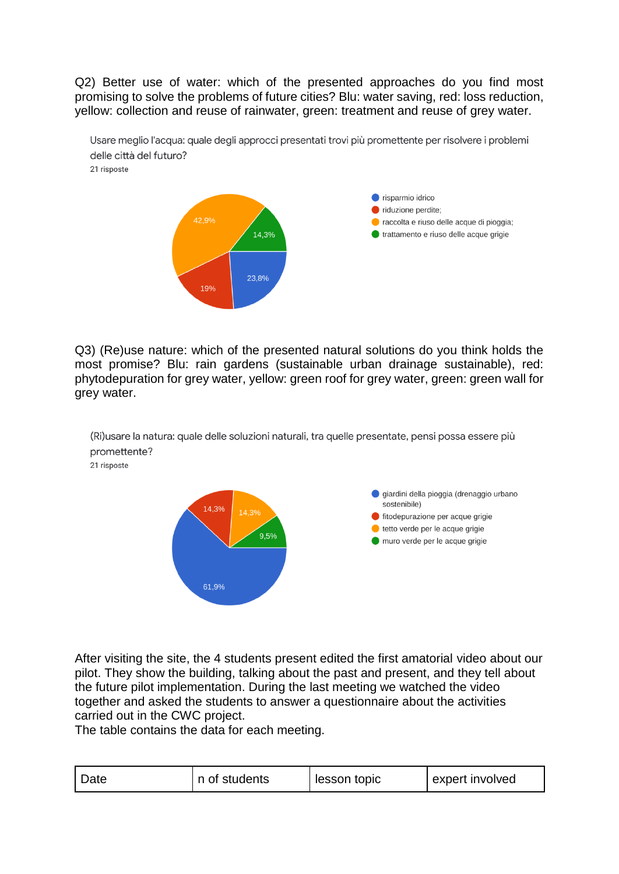Q2) Better use of water: which of the presented approaches do you find most promising to solve the problems of future cities? Blu: water saving, red: loss reduction, yellow: collection and reuse of rainwater, green: treatment and reuse of grey water.

Usare meglio l'acqua: quale degli approcci presentati trovi più promettente per risolvere i problemi delle città del futuro?

21 risposte



Q3) (Re)use nature: which of the presented natural solutions do you think holds the most promise? Blu: rain gardens (sustainable urban drainage sustainable), red: phytodepuration for grey water, yellow: green roof for grey water, green: green wall for grey water.

(Ri)usare la natura: quale delle soluzioni naturali, tra quelle presentate, pensi possa essere più promettente? 21 risposte



After visiting the site, the 4 students present edited the first amatorial video about our pilot. They show the building, talking about the past and present, and they tell about the future pilot implementation. During the last meeting we watched the video together and asked the students to answer a questionnaire about the activities carried out in the CWC project.

The table contains the data for each meeting.

| <b>Date</b> | n of students | lesson topic | expert involved |
|-------------|---------------|--------------|-----------------|
|-------------|---------------|--------------|-----------------|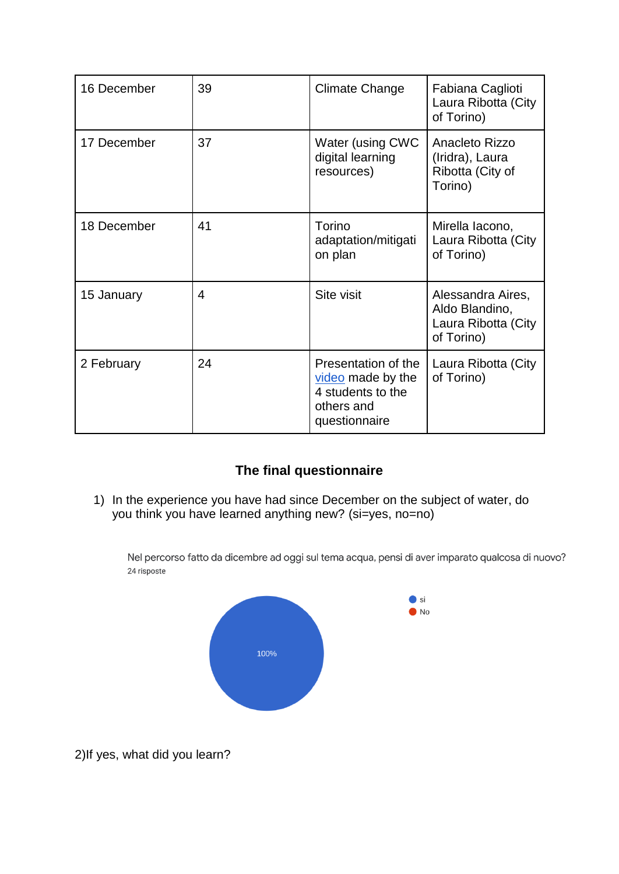| 16 December | 39             | <b>Climate Change</b>                                                                        | Fabiana Caglioti<br>Laura Ribotta (City<br>of Torino)                    |
|-------------|----------------|----------------------------------------------------------------------------------------------|--------------------------------------------------------------------------|
| 17 December | 37             | Water (using CWC<br>digital learning<br>resources)                                           | Anacleto Rizzo<br>(Iridra), Laura<br>Ribotta (City of<br>Torino)         |
| 18 December | 41             | Torino<br>adaptation/mitigati<br>on plan                                                     | Mirella lacono,<br>Laura Ribotta (City<br>of Torino)                     |
| 15 January  | $\overline{4}$ | Site visit                                                                                   | Alessandra Aires,<br>Aldo Blandino,<br>Laura Ribotta (City<br>of Torino) |
| 2 February  | 24             | Presentation of the<br>video made by the<br>4 students to the<br>others and<br>questionnaire | Laura Ribotta (City<br>of Torino)                                        |

## **The final questionnaire**

1) In the experience you have had since December on the subject of water, do you think you have learned anything new? (si=yes, no=no)

Nel percorso fatto da dicembre ad oggi sul tema acqua, pensi di aver imparato qualcosa di nuovo? 24 risposte



2)If yes, what did you learn?